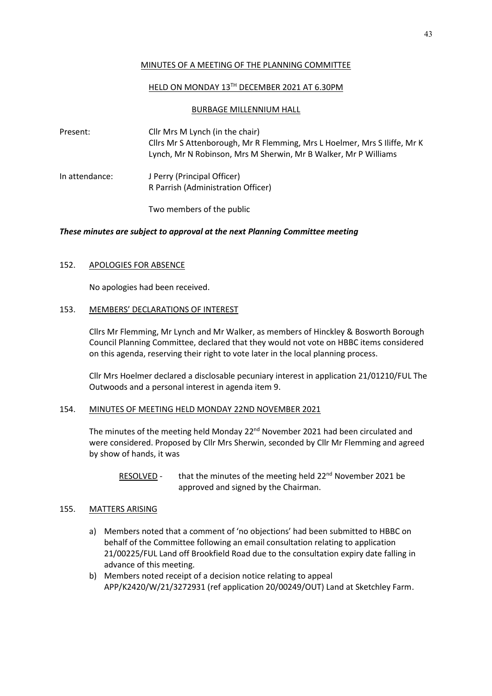### MINUTES OF A MEETING OF THE PLANNING COMMITTEE

### HELD ON MONDAY 13TH DECEMBER 2021 AT 6.30PM

### BURBAGE MILLENNIUM HALL

Present: Cllr Mrs M Lynch (in the chair) Cllrs Mr S Attenborough, Mr R Flemming, Mrs L Hoelmer, Mrs S Iliffe, Mr K Lynch, Mr N Robinson, Mrs M Sherwin, Mr B Walker, Mr P Williams

In attendance: J Perry (Principal Officer) R Parrish (Administration Officer)

Two members of the public

# *These minutes are subject to approval at the next Planning Committee meeting*

# 152. APOLOGIES FOR ABSENCE

No apologies had been received.

# 153. MEMBERS' DECLARATIONS OF INTEREST

Cllrs Mr Flemming, Mr Lynch and Mr Walker, as members of Hinckley & Bosworth Borough Council Planning Committee, declared that they would not vote on HBBC items considered on this agenda, reserving their right to vote later in the local planning process.

Cllr Mrs Hoelmer declared a disclosable pecuniary interest in application 21/01210/FUL The Outwoods and a personal interest in agenda item 9.

# 154. MINUTES OF MEETING HELD MONDAY 22ND NOVEMBER 2021

The minutes of the meeting held Monday 22<sup>nd</sup> November 2021 had been circulated and were considered. Proposed by Cllr Mrs Sherwin, seconded by Cllr Mr Flemming and agreed by show of hands, it was

RESOLVED - that the minutes of the meeting held 22<sup>nd</sup> November 2021 be approved and signed by the Chairman.

# 155. MATTERS ARISING

- a) Members noted that a comment of 'no objections' had been submitted to HBBC on behalf of the Committee following an email consultation relating to application 21/00225/FUL Land off Brookfield Road due to the consultation expiry date falling in advance of this meeting.
- b) Members noted receipt of a decision notice relating to appeal APP/K2420/W/21/3272931 (ref application 20/00249/OUT) Land at Sketchley Farm.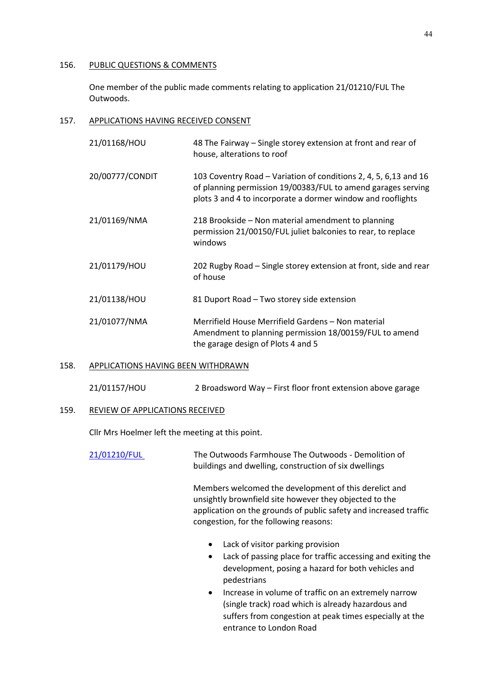### 156. PUBLIC QUESTIONS & COMMENTS

One member of the public made comments relating to application 21/01210/FUL The Outwoods.

# 157. APPLICATIONS HAVING RECEIVED CONSENT

| 21/01168/HOU    | 48 The Fairway – Single storey extension at front and rear of<br>house, alterations to roof                                                                                                     |
|-----------------|-------------------------------------------------------------------------------------------------------------------------------------------------------------------------------------------------|
| 20/00777/CONDIT | 103 Coventry Road – Variation of conditions 2, 4, 5, 6,13 and 16<br>of planning permission 19/00383/FUL to amend garages serving<br>plots 3 and 4 to incorporate a dormer window and rooflights |
| 21/01169/NMA    | 218 Brookside – Non material amendment to planning<br>permission 21/00150/FUL juliet balconies to rear, to replace<br>windows                                                                   |
| 21/01179/HOU    | 202 Rugby Road – Single storey extension at front, side and rear<br>of house                                                                                                                    |
| 21/01138/HOU    | 81 Duport Road - Two storey side extension                                                                                                                                                      |
| 21/01077/NMA    | Merrifield House Merrifield Gardens - Non material<br>Amendment to planning permission 18/00159/FUL to amend<br>the garage design of Plots 4 and 5                                              |

### 158. APPLICATIONS HAVING BEEN WITHDRAWN

21/01157/HOU 2 Broadsword Way – First floor front extension above garage

#### 159. REVIEW OF APPLICATIONS RECEIVED

Cllr Mrs Hoelmer left the meeting at this point.

| 21/01210/FUL | The Outwoods Farmhouse The Outwoods - Demolition of   |
|--------------|-------------------------------------------------------|
|              | buildings and dwelling, construction of six dwellings |

Members welcomed the development of this derelict and unsightly brownfield site however they objected to the application on the grounds of public safety and increased traffic congestion, for the following reasons:

- Lack of visitor parking provision
- Lack of passing place for traffic accessing and exiting the development, posing a hazard for both vehicles and pedestrians
- Increase in volume of traffic on an extremely narrow (single track) road which is already hazardous and suffers from congestion at peak times especially at the entrance to London Road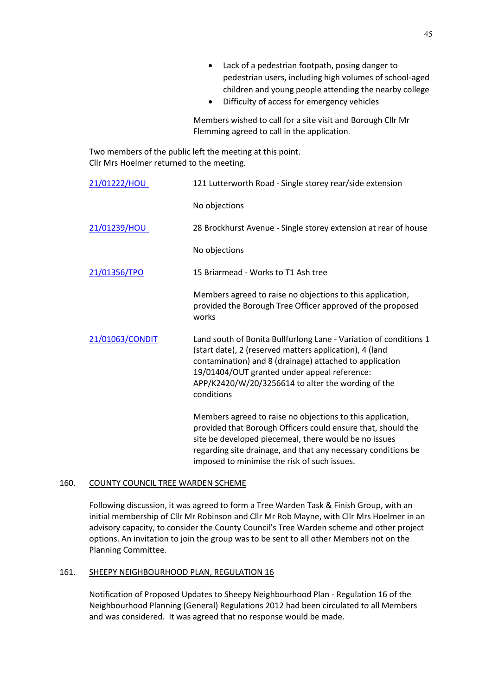- Lack of a pedestrian footpath, posing danger to pedestrian users, including high volumes of school-aged children and young people attending the nearby college
- Difficulty of access for emergency vehicles

Members wished to call for a site visit and Borough Cllr Mr Flemming agreed to call in the application.

Two members of the public left the meeting at this point. Cllr Mrs Hoelmer returned to the meeting.

| 21/01222/HOU    | 121 Lutterworth Road - Single storey rear/side extension                                                                                                                                                                                                                                                    |
|-----------------|-------------------------------------------------------------------------------------------------------------------------------------------------------------------------------------------------------------------------------------------------------------------------------------------------------------|
|                 | No objections                                                                                                                                                                                                                                                                                               |
| 21/01239/HOU    | 28 Brockhurst Avenue - Single storey extension at rear of house                                                                                                                                                                                                                                             |
|                 | No objections                                                                                                                                                                                                                                                                                               |
| 21/01356/TPO    | 15 Briarmead - Works to T1 Ash tree                                                                                                                                                                                                                                                                         |
|                 | Members agreed to raise no objections to this application,<br>provided the Borough Tree Officer approved of the proposed<br>works                                                                                                                                                                           |
| 21/01063/CONDIT | Land south of Bonita Bullfurlong Lane - Variation of conditions 1<br>(start date), 2 (reserved matters application), 4 (land<br>contamination) and 8 (drainage) attached to application<br>19/01404/OUT granted under appeal reference:<br>APP/K2420/W/20/3256614 to alter the wording of the<br>conditions |
|                 | Members agreed to raise no objections to this application,<br>provided that Borough Officers could ensure that, should the<br>site be developed piecemeal, there would be no issues<br>regarding site drainage, and that any necessary conditions be<br>imposed to minimise the risk of such issues.        |

### 160. COUNTY COUNCIL TREE WARDEN SCHEME

Following discussion, it was agreed to form a Tree Warden Task & Finish Group, with an initial membership of Cllr Mr Robinson and Cllr Mr Rob Mayne, with Cllr Mrs Hoelmer in an advisory capacity, to consider the County Council's Tree Warden scheme and other project options. An invitation to join the group was to be sent to all other Members not on the Planning Committee.

#### 161. SHEEPY NEIGHBOURHOOD PLAN, REGULATION 16

Notification of Proposed Updates to Sheepy Neighbourhood Plan - Regulation 16 of the Neighbourhood Planning (General) Regulations 2012 had been circulated to all Members and was considered. It was agreed that no response would be made.